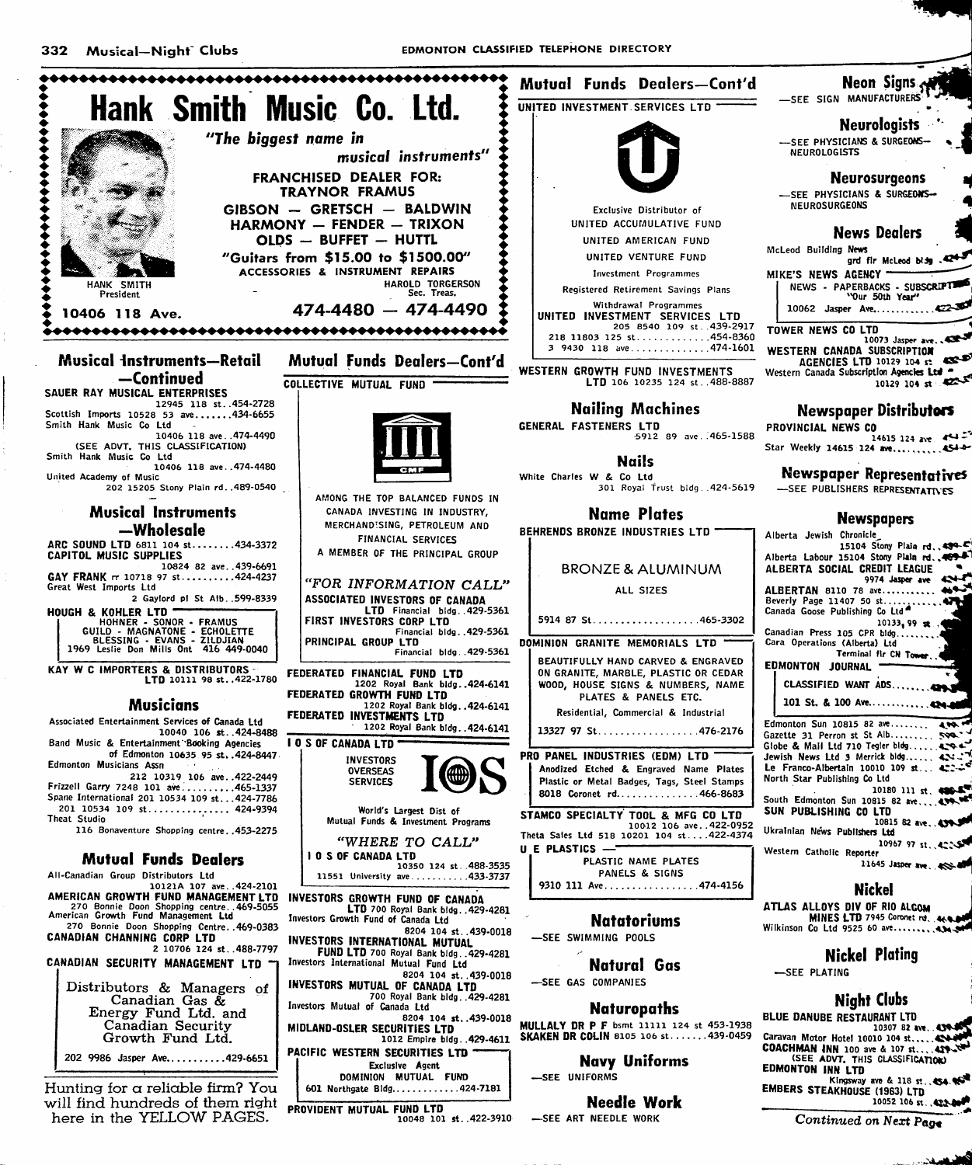

will find hundreds of them right here in the YELLOW PAGES.

PROVIDENT MUTUAL FUND LTD 10048 101 st. . 422-3910

-SEE ART NEEDLE WORK

10052 106 st. 4224

Continued on Next Page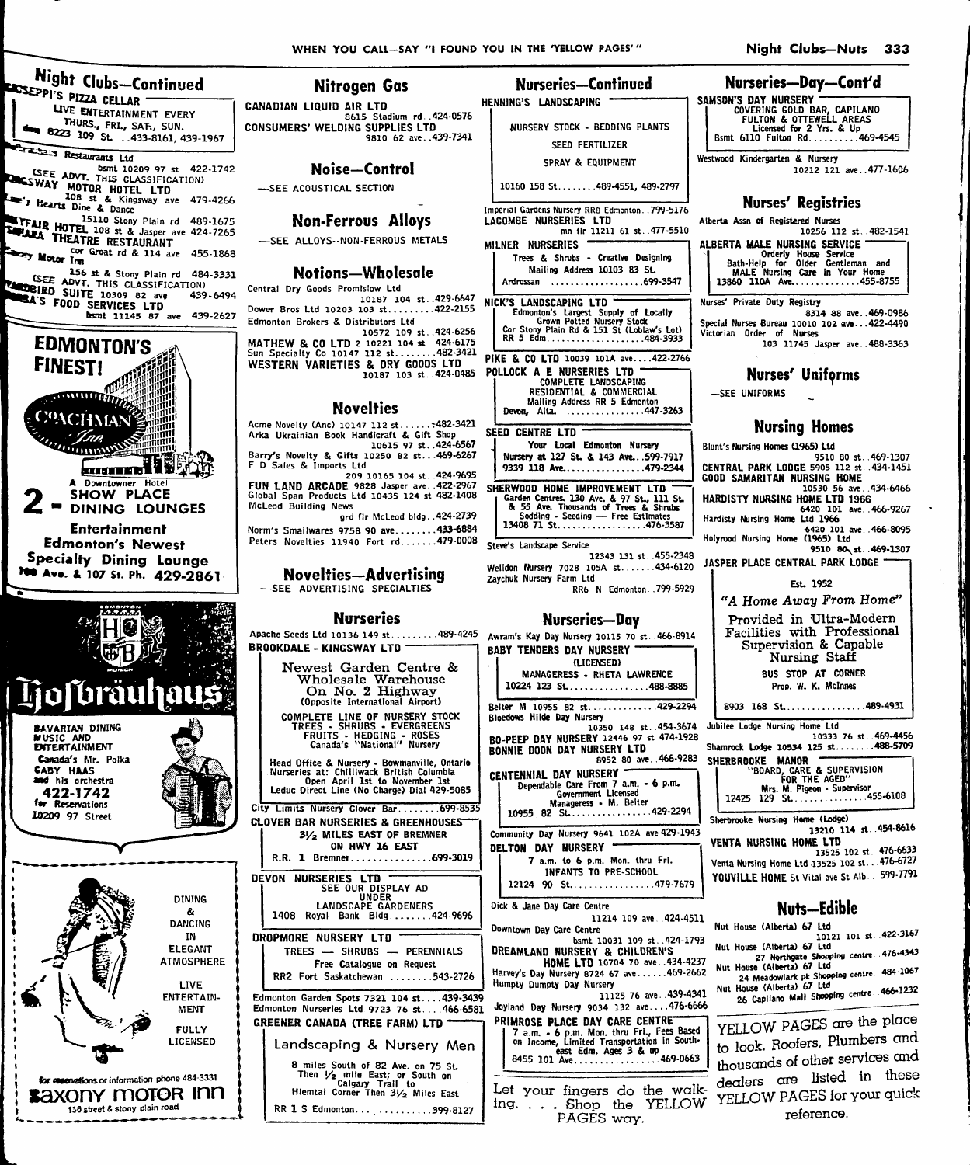**Nitrogen Gas** 

| <b>Hight Clubs-Continued</b><br>SEPPI'S PIZZA CELLAR -                    |  |
|---------------------------------------------------------------------------|--|
| LIVE ENTERTAINMENT EVERY                                                  |  |
| THURS., FRL, SAT., SUN.<br>$\frac{1}{2}$ 8223 109 St. .433-8161, 439-1967 |  |

**My A** 

a ha Restaurants Ltd SEE ADVT. THIS CLASSIFICATION<br>
SEE ADVT. THIS CLASSIFICATION<br>
SEE ADVT. THIS CLASSIFICATION<br>
THE THE REAL DIRECT AS A Kingsway are 479-4266<br>
THE REAL DIRECT AS DANCE THE REAL PROPERTY

EFFAIR HOTEL 108 st & Jasper ave 424-7265 **ELITEAIR HOTEL 108 ST & Japin Telephone RESTAURANT** 

cor Groat rd & 114 ave 455-1868 Motor Inn 156 st & Stony Plain rd 484-3331

SEE ADVT. THIS CLASSIFICATION) **EXA'S FOOD SERVICES LTD**<br>**EXA'S FOOD SERVICES LTD**<br>**bsmt 11145 87 ave 439-2627** 439-6494





saxony motor inn

158 street & stony plain road

## HENNING'S LANDSCAPING CANADIAN LIQUID AIR LTD EXAMPLE PRODUCED AIR LTD<br>
S615 Stadium rd. 424-0576<br>
CONSUMERS' WELDING SUPPLIES LTD 9810 62 ave. .439-7341 SPRAY & EQUIPMENT Noise-Control -SEE ACOUSTICAL SECTION **Non-Ferrous Alloys** -SEE ALLOYS--NON-FERROUS METALS MILNER NURSERIES Notions-Wholesale Central Dry Goods Promislow Ltd 10187 104 st. 429-6647 NICK'S LANDSCAPING LTD Dower Bros Ltd 10203 103 st........422-2155 Edmonton Brokers & Distributors Ltd MATHEW & CO LTD 2 10221 104 st. 424-6175<br>Sun Specialty Co 10147 112 st........482-3421<br>WESTERN VARIETIES & DRY GOODS LTD... THE & ULTIM POST AND SERVED BY COODS LTD PIRE & ULTIM CONFLETE LANDSCRIPTION CONFLICTED AND COMPLETE LANDSCRIPTION RESIDENTIAL & COMMERCIAL **Novelties** Acme Novelty (Anc) 10147 112 st...... : 482-3421 SEED CENTRE LTD Arka Ukrainian Book Handicraft & Gift Shop<br>Arka Ukrainian Book Handicraft & Gift Shop Examples Novelty & Gifts 10250 82 st...469-6267 F D Sales & Imports Ltd  $209$  10165 104 st. 424-9695 FUN LAND ARCADE 9828 Jasper ave. 422-2967<br>Global Span Products Ltd 10435 124 st 482-1408 McLeod Building News grd fir McLeod bidg. . 424-2739 Norm's Smallwares 9758 90 ave........433-6884 Peters Novelties 11940 Fort rd.......479-0008 Steve's Landscape Service **Novelties-Advertising** Zaychuk Nursery Farm Ltd -SEE ADVERTISING SPECIALTIES **Nurseries** Apache Seeds Ltd 10136 149 st.........489-4245 Awram's Kay Day Nursery 10115 70 st. 466-8914 **BROOKDALE - KINGSWAY LTD -**Newest Garden Centre & Wholesale Warehouse<br>On No. 2 Highway (Opposite International Airport) COMPLETE LINE OF NURSERY STOCK Bloedows Hilde Day Nursery TREES - SHRUBS - EVERGREENS<br>FRUITS - HEDGING - ROSES<br>Canada's "National" Nursery Head Office & Nursery - Bowmanville, Ontario<br>Nurseries at: Chilliwack British Columbia<br>Open April 1st to November 1st<br>Leduc Direct Line (No Charge) Dial 429-5085 City Limits Nursery Clover Bar....... 699-8535 **CLOVER BAR NURSERIES & GREENHOUSES** 31/2 MILES EAST OF BREMNER ON HWY 16 EAST

R.R. 1 Bremner................699-3019 DEVON NURSERIES LTD<br>SEE OUR DISPLAY AD<br>LANDSCAPE GARDENERS 1408 Royal Bank Bldg....... 424-9696 DROPMORE NURSERY LTD TREES - SHRUBS - PERENNIALS Free Catalogue on Request RR2 Fort Saskatchewan ....... 543-2726 Edmonton Garden Spots 7321 104 st....439-3439 Edmonton Nurseries Ltd 9723 76 st... 466-6581 **GREENER CANADA (TREE FARM) LTD** Landscaping & Nursery Men 8 miles South of 82 Ave. on 75 St.<br>Then  $\frac{1}{2}$  mile East; or South on<br>Calgary Trail to<br>Hiemtal Corner Then  $\frac{3}{2}$  Miles East

# RR 1 S Edmonton...................399-8127

**Nurseries-Continued** 

NURSERY STOCK - BEDDING PLANTS SEED FERTILIZER

10160 158 St.......489-4551, 489-2797

Imperial Gardens Nursery RR8 Edmonton. 799-5176 LACOMBE NURSERIES LTD mn fir 11211 61 st. 477-5510

Trees & Shrubs - Creative Designing Mailing Address 10103 83 St.

Ardrossan ......................699-3547

K's LANUSLAPING LIU<br>Edmonton's Largest Supply of Locally<br>Grown Potted Nursery Stock<br>Cor Stony Plain Rd & 151 St (Loblaw's Lot)<br>RR 5 Edm........................484-3933

PIKE & CO LTD 10039 101A ave....422-2766

Your Local Edmonton Nursery Nursery at 127 St. & 143 Ave...599-7917

9339 118 Ave................479-2344

12343 131 st. 455-2348

Welldon Nursery 7028 105A st.......434-6120 RR6 N Edmonton. . 799-5929

#### Nurseries—Day

**BABY TENDERS DAY NURSERY** (LICENSED) MANAGERESS - RHETA LAWRENCE 10224 123 St................488-8885 Belter M 10955 82 st..............429-2294 10350 148 st. 454-3674 BO-PEEP DAY NURSERY 12446 97 st 474-1928<br>BONNIE DOON DAY NURSERY LTD 8952 80 ave. 466-9283 CENTENNIAL DAY NURSERY ENNIAL De Care From 7 a.m. - 6 p.m.<br>Government Licensed<br>Manageress - M. Belter<br>Annageress - M. Belter 10955 82 St. . . . . . . . . . . . . . . . 429-2294 Community Day Nursery 9641 102A ave 429-1943 DELTON DAY NURSERY 7 a.m. to 6 p.m. Mon. thru Fri. INFANTS TO PRE-SCHOOL 12124 90 St.................479-7679 Dick & Jane Day Care Centre 11214 109 ave. 424-4511 Downtown Day Care Centre bsmt 10031 109 st. . 424-1793 SIMIT 10031 109 st..424-1793<br> **HOME LTD** 10704 70 ave..434-4237<br>
Home LTD 10704 70 ave......469-2662<br>
Humpty Day Nursery<br>
200 4241

11125 76 ave 439-4341 Joyland Day Nursery 9034 132 ave....476-6666 PRIMROSE PLACE DAY CARE CENTRE"

STREET PLANT UNIT UNIT CENTIFIES 3<br>
7 a.m. - 6 p.m. Mon. thru Fri., Fees Based<br>
on Income, Limited Transportation in South-<br>
8455 101 Ave..................469-0663

Let your fingers do the walking. . . . Shop the YELLOW PAGES way.

# Nurseries-Day-Cont'd

SAMSON'S DAY NURSERY MSUN'S DAT NUNSERT<br>COVERING GOLD BAR, CAPILANO<br>FULTON & OTTEWELL AREAS<br>Licensed for 2 Yrs. & Up<br>Bsmt 6110 Fulton Rd..........469-4545

Westwood Kindergarten & Nursery 10212 121 ave..477-1606

## **Nurses' Registries**

Alberta Assn of Registered Nurses 10256 112 et 482-1541 ALBERTA MALE NURSING SERVICE District modern of the Christman and Bath-Help for Older Gentleman and MALE Nursing Care in Your Home<br>MALE Nursing Care in Your Home<br>13860 110A Ave..................455-8755

Nurses' Private Duty Registry 8314 88 ave..469-0986 Special Nurses Bureau 10010 102 ave...422-4490 Victorian Order of Nurses<br>103 11745 Jasoer ave. 488-3363

## **Nurses' Uniforms**

-SEE UNIFORMS

### **Nursing Homes**

Blunt's Nursing Homes (1965) Ltd 9510 80 st. 469-1307<br>CENTRAL PARK LODGE 5905 112 st. 434-1451 **GOOD SAMARITAN NURSING HOME** 10530 56 ave. 434-6466 HARDISTY NURSING HOME LTD 1966 6420 101 ave...466-9267<br>6420 101 ave...466-9267<br>Hardisty Nursing Home Ltd 1966 6420 101 ave. 466-8095<br>Holyrood Nursing Home (1965) Ltd 9510 80 st. 469-1307 JASPER PLACE CENTRAL PARK LODGE Fel. 1952 "A Home Away From Home" Provided in Ultra-Modern Facilities with Professional

Supervision & Capable Nursing Staff BUS STOP AT CORNER Prop. W. K. McInnes

8903 168 St................489-4931

Jubilee Lodge Nursing Home Ltd 10333 76 st. 469-4456 Shamrock Lodge 10534 125 st....... 488-5709 

Sherbrooke Nursing Home (Lodge) 13210 114 st. 454-8616 VENTA NURSING HOME LTD 13525 102 st. 476-6633 Venta Nursing Home Ltd 13525 102 st...476-6727

YOUVILLE HOME St Vital ave St Alb. . . 599-7791

# Nuts-Edible

- Nut House (Alberta) 67 Ltd Nut House (Alberta) 67 Ltd<br>Nut House (Alberta) 67 Ltd
- 27 Northgate Shopping centre 476-4343<br>Nut House (Alberta) 67 Ltd
- 24 Meadowlark pk Shopping centre. 484-1067<br>Nut House (Alberta) 67 Ltd
- 26 Capilano Mall Shopping centre. 466-1232

YELLOW PAGES are the place to look. Roofers, Plumbers and thousands of other services and dealers are listed in these YELLOW PAGES for your quick reference.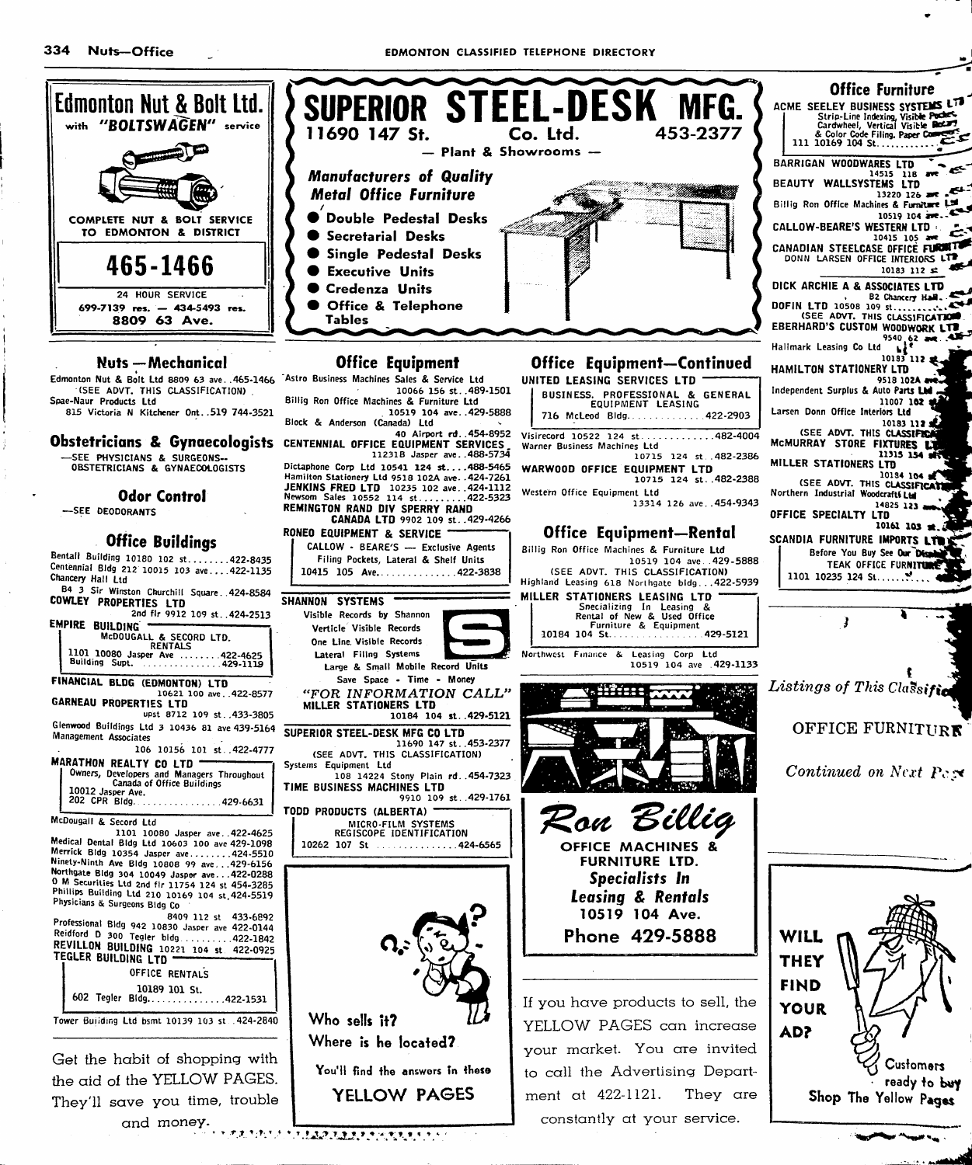334 Nuts-Office

**EDMONTON CLASSIFIED TELEPHONE DIRECTORY** 



constantly at your service.

and money.

**TAINNA TAIREAN TAINT T**